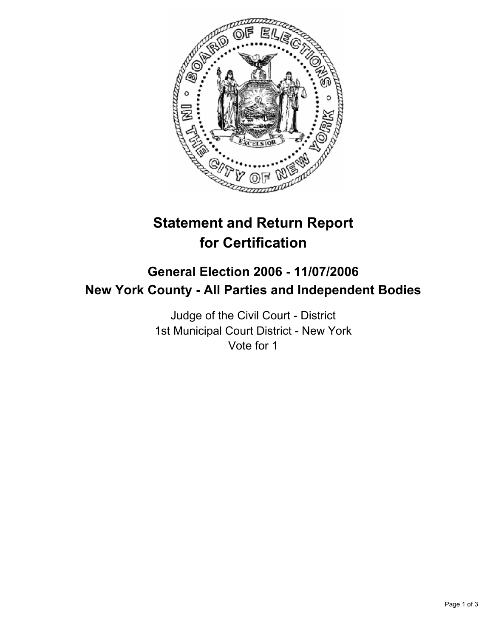

## **Statement and Return Report for Certification**

## **General Election 2006 - 11/07/2006 New York County - All Parties and Independent Bodies**

Judge of the Civil Court - District 1st Municipal Court District - New York Vote for 1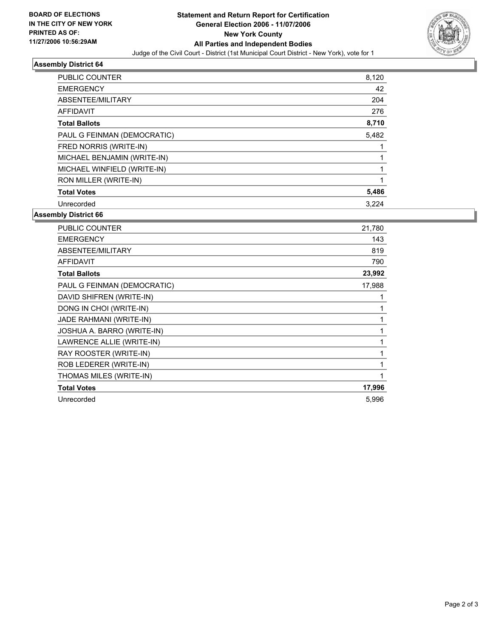

## **Assembly District 64**

| PUBLIC COUNTER              | 8,120 |  |
|-----------------------------|-------|--|
| <b>EMERGENCY</b>            | 42    |  |
| ABSENTEE/MILITARY           | 204   |  |
| <b>AFFIDAVIT</b>            | 276   |  |
| <b>Total Ballots</b>        | 8,710 |  |
| PAUL G FEINMAN (DEMOCRATIC) | 5,482 |  |
| FRED NORRIS (WRITE-IN)      |       |  |
| MICHAEL BENJAMIN (WRITE-IN) |       |  |
| MICHAEL WINFIELD (WRITE-IN) |       |  |
| RON MILLER (WRITE-IN)       |       |  |
| <b>Total Votes</b>          | 5,486 |  |
| Unrecorded                  | 3.224 |  |

**Assembly District 66**

| <b>PUBLIC COUNTER</b>       | 21,780 |
|-----------------------------|--------|
| <b>EMERGENCY</b>            | 143    |
| ABSENTEE/MILITARY           | 819    |
| <b>AFFIDAVIT</b>            | 790    |
| <b>Total Ballots</b>        | 23,992 |
| PAUL G FEINMAN (DEMOCRATIC) | 17,988 |
| DAVID SHIFREN (WRITE-IN)    |        |
| DONG IN CHOI (WRITE-IN)     |        |
| JADE RAHMANI (WRITE-IN)     |        |
| JOSHUA A. BARRO (WRITE-IN)  |        |
| LAWRENCE ALLIE (WRITE-IN)   |        |
| RAY ROOSTER (WRITE-IN)      |        |
| ROB LEDERER (WRITE-IN)      |        |
| THOMAS MILES (WRITE-IN)     |        |
| <b>Total Votes</b>          | 17,996 |
| Unrecorded                  | 5,996  |